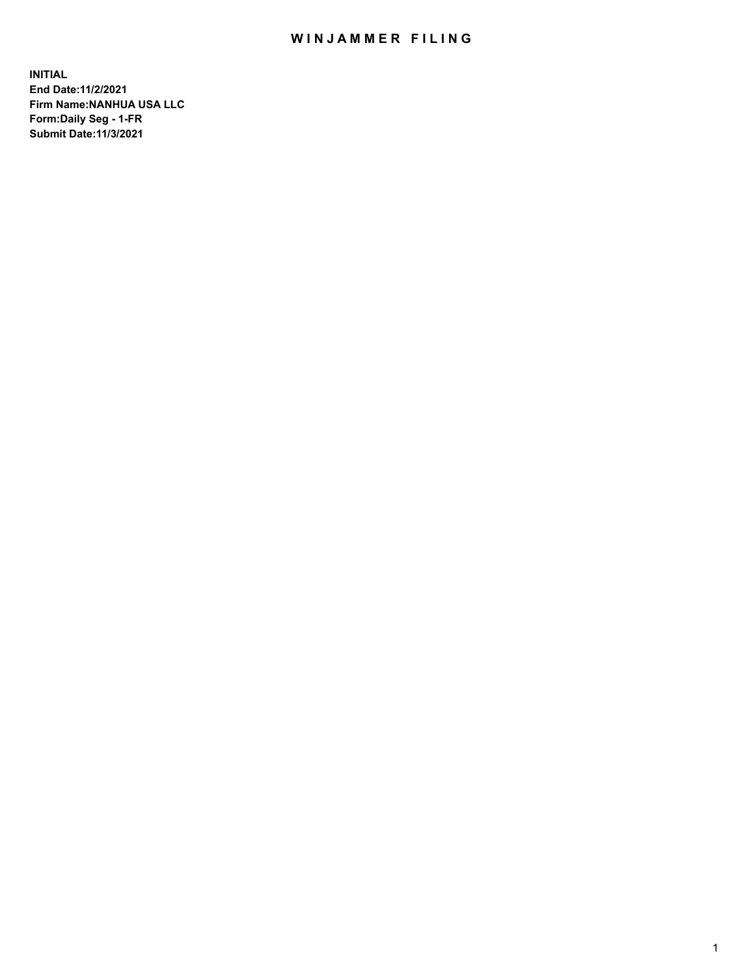## WIN JAMMER FILING

**INITIAL End Date:11/2/2021 Firm Name:NANHUA USA LLC Form:Daily Seg - 1-FR Submit Date:11/3/2021**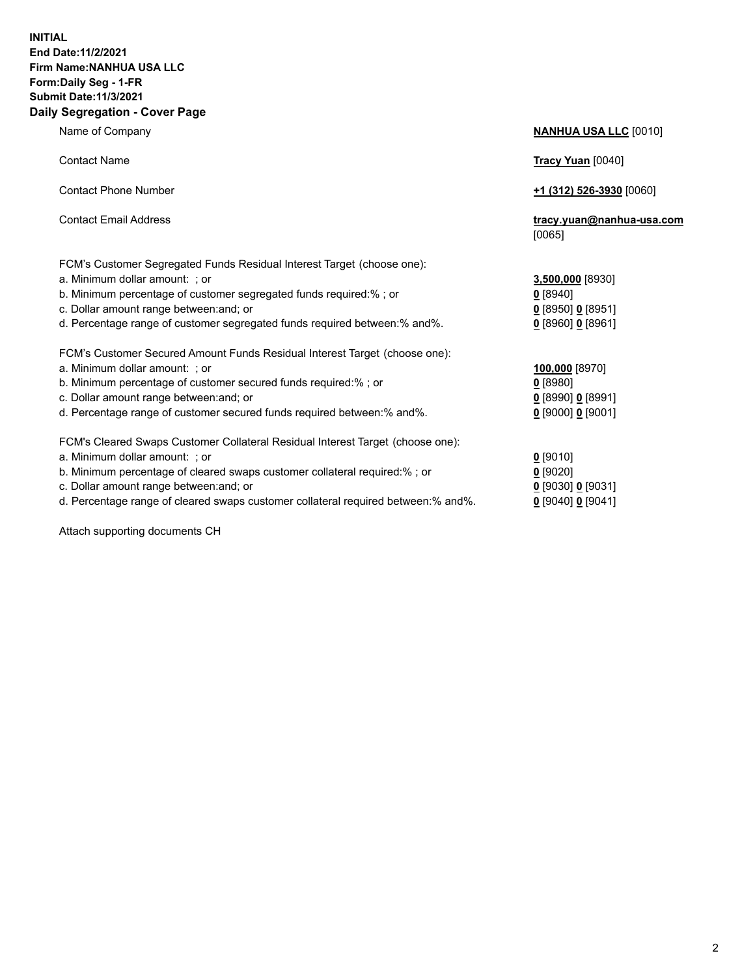## **INITIAL End Date:11/2/2021 Firm Name:NANHUA USA LLC Form:Daily Seg - 1-FR Submit Date:11/3/2021 Daily Segregation - Cover Page**

Name of Company **NANHUA USA LLC** [0010] Contact Name **Tracy Yuan** [0040] Contact Phone Number **+1 (312) 526-3930** [0060] Contact Email Address **tracy.yuan@nanhua-usa.com** [0065] FCM's Customer Segregated Funds Residual Interest Target (choose one): a. Minimum dollar amount: ; or **3,500,000** [8930] b. Minimum percentage of customer segregated funds required:% ; or **0** [8940] c. Dollar amount range between:and; or **0** [8950] **0** [8951] d. Percentage range of customer segregated funds required between:% and%. **0** [8960] **0** [8961] FCM's Customer Secured Amount Funds Residual Interest Target (choose one): a. Minimum dollar amount: ; or **100,000** [8970] b. Minimum percentage of customer secured funds required:% ; or **0** [8980] c. Dollar amount range between:and; or **0** [8990] **0** [8991] d. Percentage range of customer secured funds required between:% and%. **0** [9000] **0** [9001] FCM's Cleared Swaps Customer Collateral Residual Interest Target (choose one): a. Minimum dollar amount: ; or **0** [9010] b. Minimum percentage of cleared swaps customer collateral required:% ; or **0** [9020] c. Dollar amount range between:and; or **0** [9030] **0** [9031]

d. Percentage range of cleared swaps customer collateral required between:% and%. **0** [9040] **0** [9041]

Attach supporting documents CH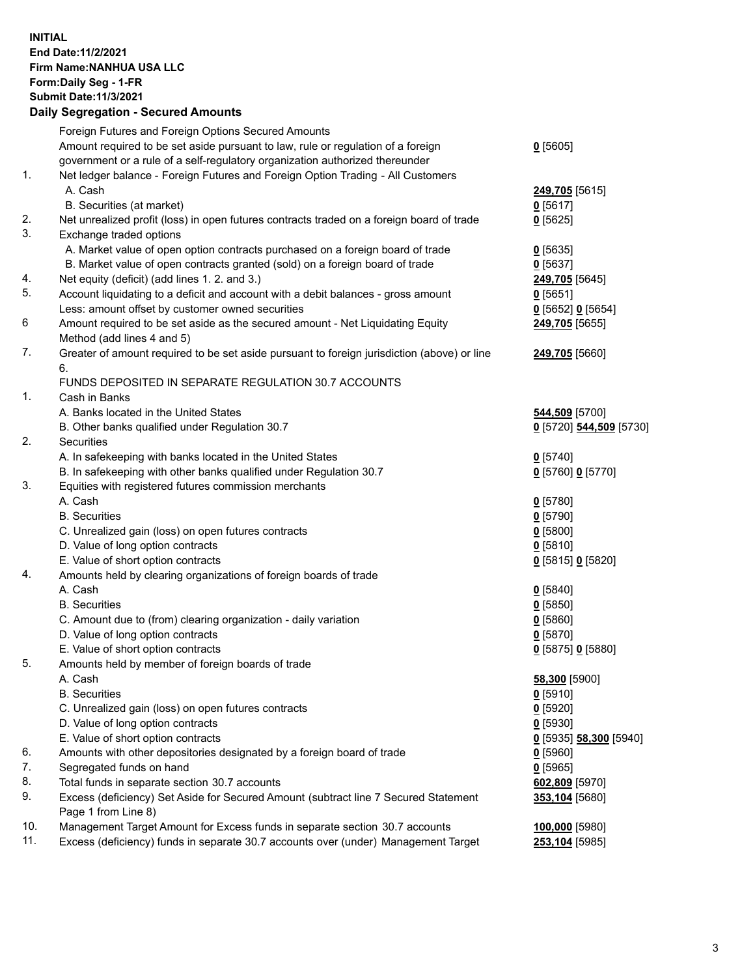## **INITIAL End Date:11/2/2021 Firm Name:NANHUA USA LLC Form:Daily Seg - 1-FR Submit Date:11/3/2021 Daily Segregation - Secured Amounts**

|     | Foreign Futures and Foreign Options Secured Amounts                                         |                         |
|-----|---------------------------------------------------------------------------------------------|-------------------------|
|     | Amount required to be set aside pursuant to law, rule or regulation of a foreign            | $0$ [5605]              |
|     | government or a rule of a self-regulatory organization authorized thereunder                |                         |
| 1.  | Net ledger balance - Foreign Futures and Foreign Option Trading - All Customers             |                         |
|     | A. Cash                                                                                     | 249,705 [5615]          |
|     | B. Securities (at market)                                                                   | $0$ [5617]              |
| 2.  | Net unrealized profit (loss) in open futures contracts traded on a foreign board of trade   | $0$ [5625]              |
| 3.  | Exchange traded options                                                                     |                         |
|     | A. Market value of open option contracts purchased on a foreign board of trade              | $0$ [5635]              |
|     | B. Market value of open contracts granted (sold) on a foreign board of trade                | $0$ [5637]              |
| 4.  | Net equity (deficit) (add lines 1. 2. and 3.)                                               | 249,705 [5645]          |
| 5.  | Account liquidating to a deficit and account with a debit balances - gross amount           | $0$ [5651]              |
|     | Less: amount offset by customer owned securities                                            | $0$ [5652] $0$ [5654]   |
| 6   | Amount required to be set aside as the secured amount - Net Liquidating Equity              | 249,705 [5655]          |
|     | Method (add lines 4 and 5)                                                                  |                         |
| 7.  | Greater of amount required to be set aside pursuant to foreign jurisdiction (above) or line | 249,705 [5660]          |
|     | 6.                                                                                          |                         |
|     | FUNDS DEPOSITED IN SEPARATE REGULATION 30.7 ACCOUNTS                                        |                         |
| 1.  | Cash in Banks                                                                               |                         |
|     | A. Banks located in the United States                                                       | 544,509 [5700]          |
|     | B. Other banks qualified under Regulation 30.7                                              | 0 [5720] 544,509 [5730] |
| 2.  | Securities                                                                                  |                         |
|     | A. In safekeeping with banks located in the United States                                   | $0$ [5740]              |
|     | B. In safekeeping with other banks qualified under Regulation 30.7                          | 0 [5760] 0 [5770]       |
| 3.  | Equities with registered futures commission merchants                                       |                         |
|     | A. Cash                                                                                     | $0$ [5780]              |
|     | <b>B.</b> Securities                                                                        | $0$ [5790]              |
|     | C. Unrealized gain (loss) on open futures contracts                                         | $0$ [5800]              |
|     | D. Value of long option contracts                                                           | $0$ [5810]              |
|     | E. Value of short option contracts                                                          | 0 [5815] 0 [5820]       |
| 4.  | Amounts held by clearing organizations of foreign boards of trade                           |                         |
|     | A. Cash                                                                                     | $0$ [5840]              |
|     | <b>B.</b> Securities                                                                        | $0$ [5850]              |
|     | C. Amount due to (from) clearing organization - daily variation                             | $0$ [5860]              |
|     | D. Value of long option contracts                                                           | $0$ [5870]              |
|     | E. Value of short option contracts                                                          | 0 [5875] 0 [5880]       |
| 5.  | Amounts held by member of foreign boards of trade                                           |                         |
|     | A. Cash                                                                                     | 58,300 [5900]           |
|     | <b>B.</b> Securities                                                                        | $0$ [5910]              |
|     | C. Unrealized gain (loss) on open futures contracts                                         | $0$ [5920]              |
|     | D. Value of long option contracts                                                           | $0$ [5930]              |
|     | E. Value of short option contracts                                                          | 0 [5935] 58,300 [5940]  |
| 6.  | Amounts with other depositories designated by a foreign board of trade                      | $0$ [5960]              |
| 7.  | Segregated funds on hand                                                                    | $0$ [5965]              |
| 8.  | Total funds in separate section 30.7 accounts                                               | 602,809 [5970]          |
| 9.  | Excess (deficiency) Set Aside for Secured Amount (subtract line 7 Secured Statement         | 353,104 [5680]          |
|     | Page 1 from Line 8)                                                                         |                         |
| 10. | Management Target Amount for Excess funds in separate section 30.7 accounts                 | 100,000 [5980]          |
| 11. | Excess (deficiency) funds in separate 30.7 accounts over (under) Management Target          | 253,104 [5985]          |
|     |                                                                                             |                         |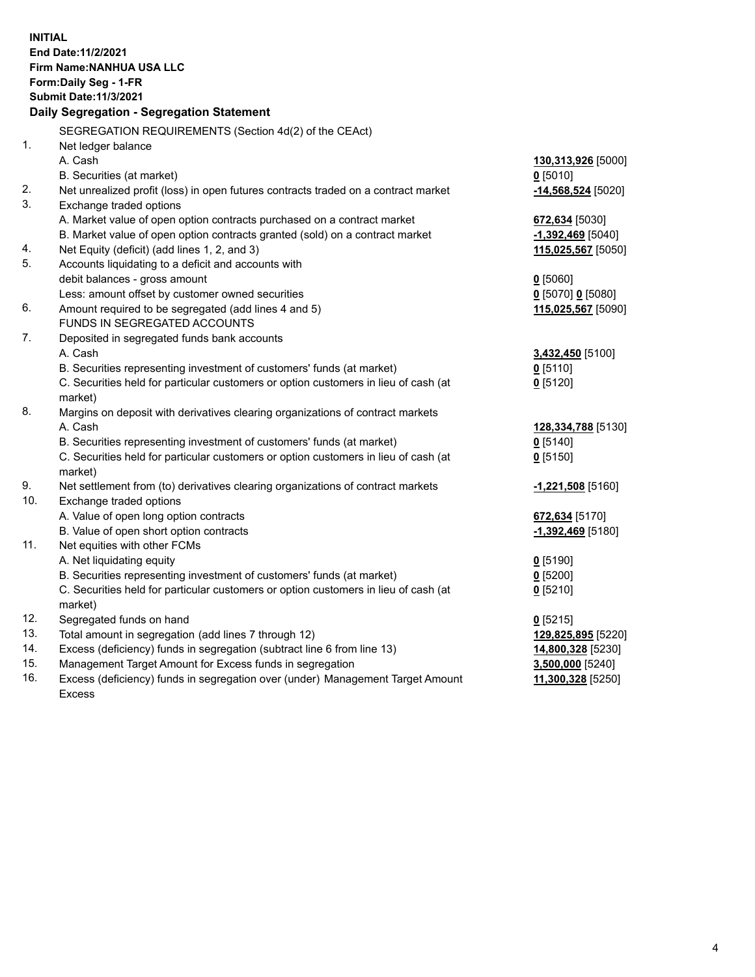| <b>INITIAL</b><br>End Date: 11/2/2021<br><b>Firm Name: NANHUA USA LLC</b><br>Form: Daily Seg - 1-FR<br><b>Submit Date: 11/3/2021</b><br>Daily Segregation - Segregation Statement |                                                                                           |                      |  |  |
|-----------------------------------------------------------------------------------------------------------------------------------------------------------------------------------|-------------------------------------------------------------------------------------------|----------------------|--|--|
|                                                                                                                                                                                   | SEGREGATION REQUIREMENTS (Section 4d(2) of the CEAct)                                     |                      |  |  |
| 1.                                                                                                                                                                                | Net ledger balance                                                                        |                      |  |  |
|                                                                                                                                                                                   | A. Cash                                                                                   | 130,313,926 [5000]   |  |  |
|                                                                                                                                                                                   | B. Securities (at market)                                                                 | $0$ [5010]           |  |  |
| 2.                                                                                                                                                                                | Net unrealized profit (loss) in open futures contracts traded on a contract market        | $-14,568,524$ [5020] |  |  |
| 3.                                                                                                                                                                                | Exchange traded options                                                                   |                      |  |  |
|                                                                                                                                                                                   | A. Market value of open option contracts purchased on a contract market                   | 672,634 [5030]       |  |  |
|                                                                                                                                                                                   | B. Market value of open option contracts granted (sold) on a contract market              | $-1,392,469$ [5040]  |  |  |
| 4.                                                                                                                                                                                | Net Equity (deficit) (add lines 1, 2, and 3)                                              | 115,025,567 [5050]   |  |  |
| 5.                                                                                                                                                                                | Accounts liquidating to a deficit and accounts with                                       |                      |  |  |
|                                                                                                                                                                                   | debit balances - gross amount                                                             | $0$ [5060]           |  |  |
|                                                                                                                                                                                   | Less: amount offset by customer owned securities                                          | $0$ [5070] 0 [5080]  |  |  |
| 6.                                                                                                                                                                                | Amount required to be segregated (add lines 4 and 5)                                      | 115,025,567 [5090]   |  |  |
|                                                                                                                                                                                   | FUNDS IN SEGREGATED ACCOUNTS                                                              |                      |  |  |
| 7.                                                                                                                                                                                | Deposited in segregated funds bank accounts                                               |                      |  |  |
|                                                                                                                                                                                   | A. Cash                                                                                   | 3,432,450 [5100]     |  |  |
|                                                                                                                                                                                   | B. Securities representing investment of customers' funds (at market)                     | $0$ [5110]           |  |  |
|                                                                                                                                                                                   | C. Securities held for particular customers or option customers in lieu of cash (at       | $0$ [5120]           |  |  |
| 8.                                                                                                                                                                                | market)<br>Margins on deposit with derivatives clearing organizations of contract markets |                      |  |  |
|                                                                                                                                                                                   | A. Cash                                                                                   | 128,334,788 [5130]   |  |  |
|                                                                                                                                                                                   | B. Securities representing investment of customers' funds (at market)                     | $0$ [5140]           |  |  |
|                                                                                                                                                                                   | C. Securities held for particular customers or option customers in lieu of cash (at       | $0$ [5150]           |  |  |
|                                                                                                                                                                                   | market)                                                                                   |                      |  |  |
| 9.                                                                                                                                                                                | Net settlement from (to) derivatives clearing organizations of contract markets           | -1,221,508 [5160]    |  |  |
| 10.                                                                                                                                                                               | Exchange traded options                                                                   |                      |  |  |
|                                                                                                                                                                                   | A. Value of open long option contracts                                                    | 672,634 [5170]       |  |  |
|                                                                                                                                                                                   | B. Value of open short option contracts                                                   | $-1,392,469$ [5180]  |  |  |
| 11.                                                                                                                                                                               | Net equities with other FCMs                                                              |                      |  |  |
|                                                                                                                                                                                   | A. Net liquidating equity                                                                 | $0$ [5190]           |  |  |
|                                                                                                                                                                                   | B. Securities representing investment of customers' funds (at market)                     | $0$ [5200]           |  |  |
|                                                                                                                                                                                   | C. Securities held for particular customers or option customers in lieu of cash (at       | $0$ [5210]           |  |  |
|                                                                                                                                                                                   | market)                                                                                   |                      |  |  |
| 12.                                                                                                                                                                               | Segregated funds on hand                                                                  | $0$ [5215]           |  |  |
| 13.                                                                                                                                                                               | Total amount in segregation (add lines 7 through 12)                                      | 129,825,895 [5220]   |  |  |
| 14.                                                                                                                                                                               | Excess (deficiency) funds in segregation (subtract line 6 from line 13)                   | 14,800,328 [5230]    |  |  |
| 15.                                                                                                                                                                               | Management Target Amount for Excess funds in segregation                                  | 3,500,000 [5240]     |  |  |
| 16.                                                                                                                                                                               | Excess (deficiency) funds in segregation over (under) Management Target Amount            | 11,300,328 [5250]    |  |  |
|                                                                                                                                                                                   | <b>Excess</b>                                                                             |                      |  |  |